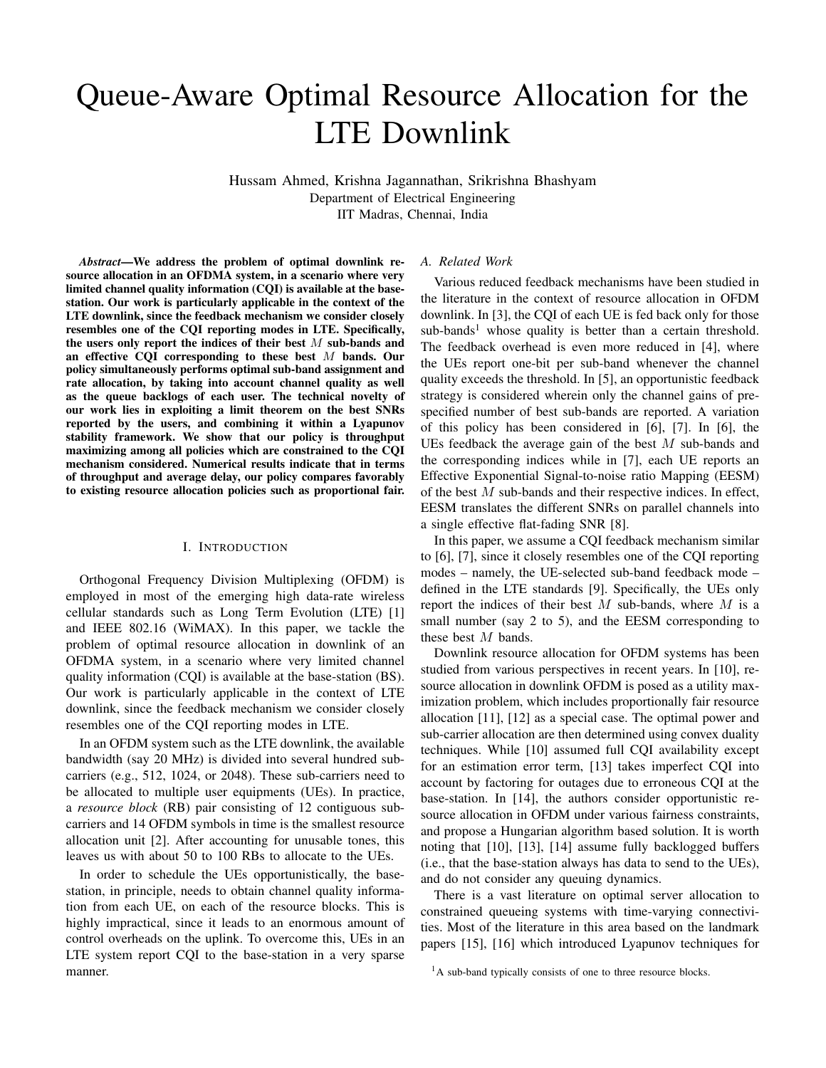# Queue-Aware Optimal Resource Allocation for the LTE Downlink

Hussam Ahmed, Krishna Jagannathan, Srikrishna Bhashyam Department of Electrical Engineering IIT Madras, Chennai, India

*Abstract*—We address the problem of optimal downlink resource allocation in an OFDMA system, in a scenario where very limited channel quality information (CQI) is available at the basestation. Our work is particularly applicable in the context of the LTE downlink, since the feedback mechanism we consider closely resembles one of the CQI reporting modes in LTE. Specifically, the users only report the indices of their best  $M$  sub-bands and an effective CQI corresponding to these best M bands. Our policy simultaneously performs optimal sub-band assignment and rate allocation, by taking into account channel quality as well as the queue backlogs of each user. The technical novelty of our work lies in exploiting a limit theorem on the best SNRs reported by the users, and combining it within a Lyapunov stability framework. We show that our policy is throughput maximizing among all policies which are constrained to the CQI mechanism considered. Numerical results indicate that in terms of throughput and average delay, our policy compares favorably to existing resource allocation policies such as proportional fair.

#### I. INTRODUCTION

Orthogonal Frequency Division Multiplexing (OFDM) is employed in most of the emerging high data-rate wireless cellular standards such as Long Term Evolution (LTE) [1] and IEEE 802.16 (WiMAX). In this paper, we tackle the problem of optimal resource allocation in downlink of an OFDMA system, in a scenario where very limited channel quality information (CQI) is available at the base-station (BS). Our work is particularly applicable in the context of LTE downlink, since the feedback mechanism we consider closely resembles one of the CQI reporting modes in LTE.

In an OFDM system such as the LTE downlink, the available bandwidth (say 20 MHz) is divided into several hundred subcarriers (e.g., 512, 1024, or 2048). These sub-carriers need to be allocated to multiple user equipments (UEs). In practice, a *resource block* (RB) pair consisting of 12 contiguous subcarriers and 14 OFDM symbols in time is the smallest resource allocation unit [2]. After accounting for unusable tones, this leaves us with about 50 to 100 RBs to allocate to the UEs.

In order to schedule the UEs opportunistically, the basestation, in principle, needs to obtain channel quality information from each UE, on each of the resource blocks. This is highly impractical, since it leads to an enormous amount of control overheads on the uplink. To overcome this, UEs in an LTE system report CQI to the base-station in a very sparse manner.

#### *A. Related Work*

Various reduced feedback mechanisms have been studied in the literature in the context of resource allocation in OFDM downlink. In [3], the CQI of each UE is fed back only for those  $sub-bands<sup>1</sup>$  whose quality is better than a certain threshold. The feedback overhead is even more reduced in [4], where the UEs report one-bit per sub-band whenever the channel quality exceeds the threshold. In [5], an opportunistic feedback strategy is considered wherein only the channel gains of prespecified number of best sub-bands are reported. A variation of this policy has been considered in [6], [7]. In [6], the UEs feedback the average gain of the best  $M$  sub-bands and the corresponding indices while in [7], each UE reports an Effective Exponential Signal-to-noise ratio Mapping (EESM) of the best M sub-bands and their respective indices. In effect, EESM translates the different SNRs on parallel channels into a single effective flat-fading SNR [8].

In this paper, we assume a CQI feedback mechanism similar to [6], [7], since it closely resembles one of the CQI reporting modes – namely, the UE-selected sub-band feedback mode – defined in the LTE standards [9]. Specifically, the UEs only report the indices of their best  $M$  sub-bands, where  $M$  is a small number (say 2 to 5), and the EESM corresponding to these best M bands.

Downlink resource allocation for OFDM systems has been studied from various perspectives in recent years. In [10], resource allocation in downlink OFDM is posed as a utility maximization problem, which includes proportionally fair resource allocation [11], [12] as a special case. The optimal power and sub-carrier allocation are then determined using convex duality techniques. While [10] assumed full CQI availability except for an estimation error term, [13] takes imperfect CQI into account by factoring for outages due to erroneous CQI at the base-station. In [14], the authors consider opportunistic resource allocation in OFDM under various fairness constraints, and propose a Hungarian algorithm based solution. It is worth noting that [10], [13], [14] assume fully backlogged buffers (i.e., that the base-station always has data to send to the UEs), and do not consider any queuing dynamics.

There is a vast literature on optimal server allocation to constrained queueing systems with time-varying connectivities. Most of the literature in this area based on the landmark papers [15], [16] which introduced Lyapunov techniques for

<sup>&</sup>lt;sup>1</sup>A sub-band typically consists of one to three resource blocks.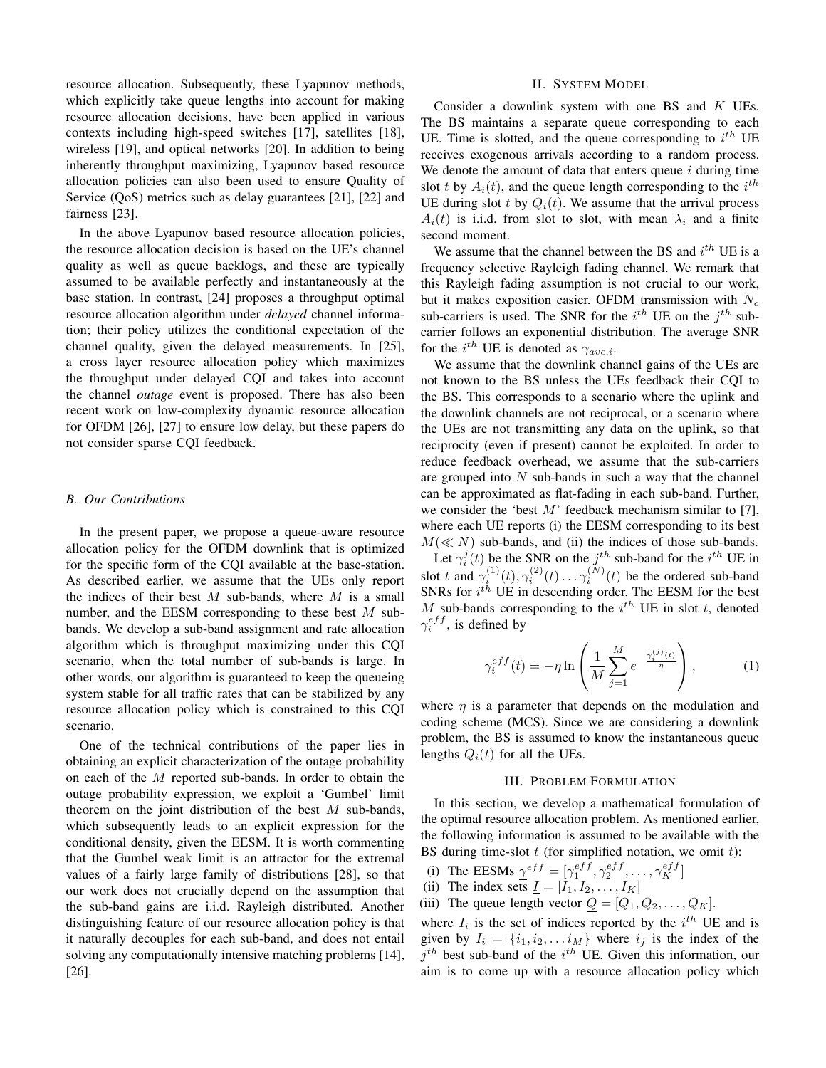resource allocation. Subsequently, these Lyapunov methods, which explicitly take queue lengths into account for making resource allocation decisions, have been applied in various contexts including high-speed switches [17], satellites [18], wireless [19], and optical networks [20]. In addition to being inherently throughput maximizing, Lyapunov based resource allocation policies can also been used to ensure Quality of Service (QoS) metrics such as delay guarantees [21], [22] and fairness [23].

In the above Lyapunov based resource allocation policies, the resource allocation decision is based on the UE's channel quality as well as queue backlogs, and these are typically assumed to be available perfectly and instantaneously at the base station. In contrast, [24] proposes a throughput optimal resource allocation algorithm under *delayed* channel information; their policy utilizes the conditional expectation of the channel quality, given the delayed measurements. In [25], a cross layer resource allocation policy which maximizes the throughput under delayed CQI and takes into account the channel *outage* event is proposed. There has also been recent work on low-complexity dynamic resource allocation for OFDM [26], [27] to ensure low delay, but these papers do not consider sparse CQI feedback.

## *B. Our Contributions*

In the present paper, we propose a queue-aware resource allocation policy for the OFDM downlink that is optimized for the specific form of the CQI available at the base-station. As described earlier, we assume that the UEs only report the indices of their best  $M$  sub-bands, where  $M$  is a small number, and the EESM corresponding to these best  $M$  subbands. We develop a sub-band assignment and rate allocation algorithm which is throughput maximizing under this CQI scenario, when the total number of sub-bands is large. In other words, our algorithm is guaranteed to keep the queueing system stable for all traffic rates that can be stabilized by any resource allocation policy which is constrained to this CQI scenario.

One of the technical contributions of the paper lies in obtaining an explicit characterization of the outage probability on each of the M reported sub-bands. In order to obtain the outage probability expression, we exploit a 'Gumbel' limit theorem on the joint distribution of the best  $M$  sub-bands, which subsequently leads to an explicit expression for the conditional density, given the EESM. It is worth commenting that the Gumbel weak limit is an attractor for the extremal values of a fairly large family of distributions [28], so that our work does not crucially depend on the assumption that the sub-band gains are i.i.d. Rayleigh distributed. Another distinguishing feature of our resource allocation policy is that it naturally decouples for each sub-band, and does not entail solving any computationally intensive matching problems [14], [26].

#### II. SYSTEM MODEL

Consider a downlink system with one BS and K UEs. The BS maintains a separate queue corresponding to each UE. Time is slotted, and the queue corresponding to  $i^{th}$  UE receives exogenous arrivals according to a random process. We denote the amount of data that enters queue  $i$  during time slot t by  $A_i(t)$ , and the queue length corresponding to the  $i^{th}$ UE during slot t by  $Q_i(t)$ . We assume that the arrival process  $A_i(t)$  is i.i.d. from slot to slot, with mean  $\lambda_i$  and a finite second moment.

We assume that the channel between the BS and  $i^{th}$  UE is a frequency selective Rayleigh fading channel. We remark that this Rayleigh fading assumption is not crucial to our work, but it makes exposition easier. OFDM transmission with  $N_c$ sub-carriers is used. The SNR for the  $i^{th}$  UE on the  $j^{th}$  subcarrier follows an exponential distribution. The average SNR for the  $i^{th}$  UE is denoted as  $\gamma_{ave,i}$ .

We assume that the downlink channel gains of the UEs are not known to the BS unless the UEs feedback their CQI to the BS. This corresponds to a scenario where the uplink and the downlink channels are not reciprocal, or a scenario where the UEs are not transmitting any data on the uplink, so that reciprocity (even if present) cannot be exploited. In order to reduce feedback overhead, we assume that the sub-carriers are grouped into  $N$  sub-bands in such a way that the channel can be approximated as flat-fading in each sub-band. Further, we consider the 'best  $M$ ' feedback mechanism similar to [7], where each UE reports (i) the EESM corresponding to its best  $M(\ll N)$  sub-bands, and (ii) the indices of those sub-bands.

Let  $\gamma_i^j(t)$  be the SNR on the  $j_t^{th}$  sub-band for the  $i^{th}$  UE in slot t and  $\gamma_i^{(1)}(t), \gamma_i^{(2)}(t) \dots \gamma_i^{(N)}(t)$  be the ordered sub-band SNRs for  $i^{th}$  UE in descending order. The EESM for the best M sub-bands corresponding to the  $i^{th}$  UE in slot t, denoted  $\gamma_i^{eff}$ , is defined by

$$
\gamma_i^{eff}(t) = -\eta \ln \left( \frac{1}{M} \sum_{j=1}^{M} e^{-\frac{\gamma_i^{(j)}(t)}{\eta}} \right), \tag{1}
$$

where  $\eta$  is a parameter that depends on the modulation and coding scheme (MCS). Since we are considering a downlink problem, the BS is assumed to know the instantaneous queue lengths  $Q_i(t)$  for all the UEs.

#### III. PROBLEM FORMULATION

In this section, we develop a mathematical formulation of the optimal resource allocation problem. As mentioned earlier, the following information is assumed to be available with the BS during time-slot  $t$  (for simplified notation, we omit  $t$ ):

- (i) The EESMs  $\gamma^{eff} = [\gamma_1^{eff}, \gamma_2^{eff}, \dots, \gamma_K^{eff}]$
- (ii) The index sets  $\underline{I} = [I_1, I_2, \dots, I_K]$
- (iii) The queue length vector  $Q = [Q_1, Q_2, \dots, Q_K]$ .

where  $I_i$  is the set of indices reported by the  $i^{th}$  UE and is given by  $I_i = \{i_1, i_2, \dots i_M\}$  where  $i_j$  is the index of the  $j<sup>th</sup>$  best sub-band of the  $i<sup>th</sup>$  UE. Given this information, our aim is to come up with a resource allocation policy which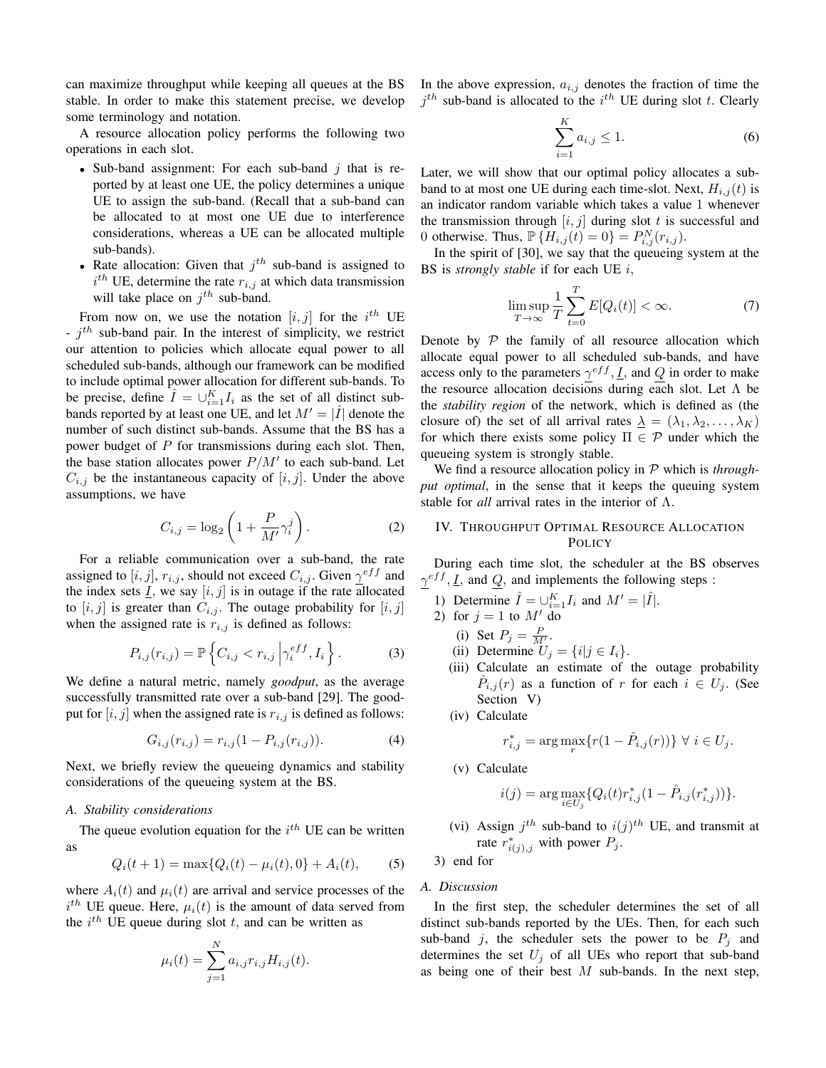can maximize throughput while keeping all queues at the BS stable. In order to make this statement precise, we develop some terminology and notation.

A resource allocation policy performs the following two operations in each slot.

- Sub-band assignment: For each sub-band  $j$  that is reported by at least one UE, the policy determines a unique UE to assign the sub-band. (Recall that a sub-band can be allocated to at most one UE due to interference considerations, whereas a UE can be allocated multiple sub-bands).
- Rate allocation: Given that  $j<sup>th</sup>$  sub-band is assigned to  $i^{th}$  UE, determine the rate  $r_{i,j}$  at which data transmission will take place on  $j^{th}$  sub-band.

From now on, we use the notation  $[i, j]$  for the  $i^{th}$  UE  $- j<sup>th</sup>$  sub-band pair. In the interest of simplicity, we restrict our attention to policies which allocate equal power to all scheduled sub-bands, although our framework can be modified to include optimal power allocation for different sub-bands. To be precise, define  $\hat{I} = \bigcup_{i=1}^{K} I_i$  as the set of all distinct subbands reported by at least one UE, and let  $M' = |\hat{I}|$  denote the number of such distinct sub-bands. Assume that the BS has a power budget of  $P$  for transmissions during each slot. Then, the base station allocates power  $P/M'$  to each sub-band. Let  $C_{i,j}$  be the instantaneous capacity of  $[i, j]$ . Under the above assumptions, we have

$$
C_{i,j} = \log_2\left(1 + \frac{P}{M'}\gamma_i^j\right). \tag{2}
$$

For a reliable communication over a sub-band, the rate assigned to  $[i, j]$ ,  $r_{i,j}$ , should not exceed  $C_{i,j}$ . Given  $\gamma^{eff}$  and the index sets  $\underline{I}$ , we say  $[i, j]$  is in outage if the rate allocated to  $[i, j]$  is greater than  $C_{i,j}$ . The outage probability for  $[i, j]$ when the assigned rate is  $r_{i,j}$  is defined as follows:

$$
P_{i,j}(r_{i,j}) = \mathbb{P}\left\{C_{i,j} < r_{i,j} \left|\gamma_i^{eff}, I_i\right.\right\}.\tag{3}
$$

We define a natural metric, namely *goodput*, as the average successfully transmitted rate over a sub-band [29]. The goodput for  $[i, j]$  when the assigned rate is  $r_{i,j}$  is defined as follows:

$$
G_{i,j}(r_{i,j}) = r_{i,j}(1 - P_{i,j}(r_{i,j})).
$$
\n(4)

Next, we briefly review the queueing dynamics and stability considerations of the queueing system at the BS.

#### *A. Stability considerations*

The queue evolution equation for the  $i^{th}$  UE can be written as

$$
Q_i(t+1) = \max\{Q_i(t) - \mu_i(t), 0\} + A_i(t),
$$
 (5)

where  $A_i(t)$  and  $\mu_i(t)$  are arrival and service processes of the  $i<sup>th</sup>$  UE queue. Here,  $\mu_i(t)$  is the amount of data served from the  $i^{th}$  UE queue during slot t, and can be written as

$$
\mu_i(t) = \sum_{j=1}^N a_{i,j} r_{i,j} H_{i,j}(t).
$$

In the above expression,  $a_{i,j}$  denotes the fraction of time the  $j<sup>th</sup>$  sub-band is allocated to the  $i<sup>th</sup>$  UE during slot t. Clearly

$$
\sum_{i=1}^{K} a_{i,j} \le 1.
$$
 (6)

Later, we will show that our optimal policy allocates a subband to at most one UE during each time-slot. Next,  $H_{i,j}(t)$  is an indicator random variable which takes a value 1 whenever the transmission through  $[i, j]$  during slot t is successful and 0 otherwise. Thus,  $\mathbb{P} \{ H_{i,j}(t) = 0 \} = P_{i,j}^{N}(r_{i,j}).$ 

In the spirit of [30], we say that the queueing system at the BS is *strongly stable* if for each UE i,

$$
\limsup_{T \to \infty} \frac{1}{T} \sum_{t=0}^{T} E[Q_i(t)] < \infty. \tag{7}
$$

Denote by  $P$  the family of all resource allocation which allocate equal power to all scheduled sub-bands, and have access only to the parameters  $\gamma^{eff}$ ,  $\underline{I}$ , and  $Q$  in order to make the resource allocation decisions during each slot. Let  $\Lambda$  be the *stability region* of the network, which is defined as (the closure of) the set of all arrival rates  $\lambda = (\lambda_1, \lambda_2, \dots, \lambda_K)$ for which there exists some policy  $\Pi \in \mathcal{P}$  under which the queueing system is strongly stable.

We find a resource allocation policy in P which is *throughput optimal*, in the sense that it keeps the queuing system stable for *all* arrival rates in the interior of Λ.

# IV. THROUGHPUT OPTIMAL RESOURCE ALLOCATION POLICY

During each time slot, the scheduler at the BS observes  $\gamma^{eff}$ ,  $\underline{I}$ , and  $Q$ , and implements the following steps :

- 1) Determine  $\hat{I} = \bigcup_{i=1}^{K} I_i$  and  $M' = |\hat{I}|$ .
- 2) for  $j = 1$  to  $M'$  do
	- (i) Set  $P_j = \frac{P}{M'}$ .
	- (ii) Determine  $U_j = \{i | j \in I_i\}.$
	- (iii) Calculate an estimate of the outage probability  $\hat{P}_{i,j}(r)$  as a function of r for each  $i \in U_j$ . (See Section V)
	- (iv) Calculate

$$
r_{i,j}^* = \arg \max_r \{ r(1 - \hat{P}_{i,j}(r)) \} \ \forall \ i \in U_j.
$$

(v) Calculate

$$
i(j) = \arg \max_{i \in U_j} \{ Q_i(t) r_{i,j}^*(1 - \hat{P}_{i,j}(r_{i,j}^*)) \}.
$$

(vi) Assign  $j<sup>th</sup>$  sub-band to  $i(j)<sup>th</sup>$  UE, and transmit at rate  $r^*_{i(j),j}$  with power  $P_j$ .

3) end for

## *A. Discussion*

In the first step, the scheduler determines the set of all distinct sub-bands reported by the UEs. Then, for each such sub-band j, the scheduler sets the power to be  $P_i$  and determines the set  $U_j$  of all UEs who report that sub-band as being one of their best  $M$  sub-bands. In the next step,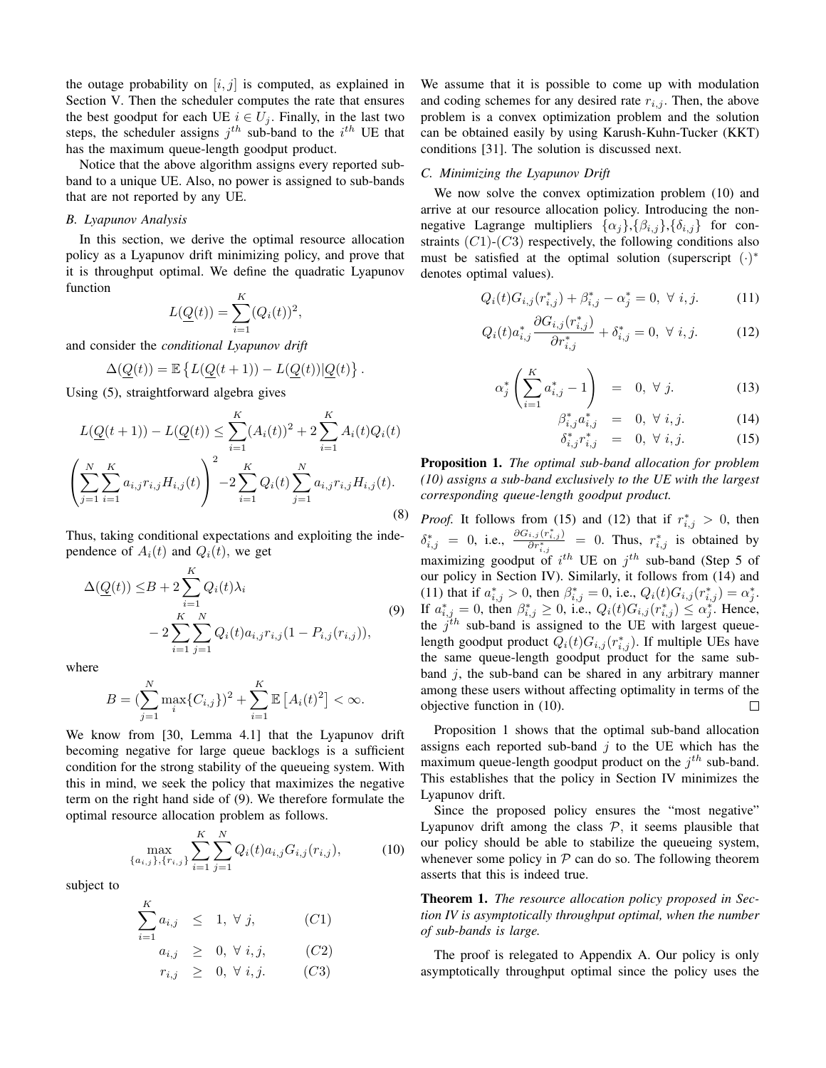the outage probability on  $[i, j]$  is computed, as explained in Section V. Then the scheduler computes the rate that ensures the best goodput for each UE  $i \in U_j$ . Finally, in the last two steps, the scheduler assigns  $j^{th}$  sub-band to the  $i^{th}$  UE that has the maximum queue-length goodput product.

Notice that the above algorithm assigns every reported subband to a unique UE. Also, no power is assigned to sub-bands that are not reported by any UE.

## *B. Lyapunov Analysis*

In this section, we derive the optimal resource allocation policy as a Lyapunov drift minimizing policy, and prove that it is throughput optimal. We define the quadratic Lyapunov function

$$
L(\underline{Q}(t)) = \sum_{i=1}^{K} (Q_i(t))^2,
$$

and consider the *conditional Lyapunov drift*

$$
\Delta(\underline{Q}(t)) = \mathbb{E}\left\{L(\underline{Q}(t+1)) - L(\underline{Q}(t))|\underline{Q}(t)\right\}.
$$

Using (5), straightforward algebra gives

$$
L(\underline{Q}(t+1)) - L(\underline{Q}(t)) \le \sum_{i=1}^{K} (A_i(t))^2 + 2 \sum_{i=1}^{K} A_i(t) Q_i(t)
$$

$$
\left(\sum_{j=1}^{N} \sum_{i=1}^{K} a_{i,j} r_{i,j} H_{i,j}(t)\right)^2 - 2 \sum_{i=1}^{K} Q_i(t) \sum_{j=1}^{N} a_{i,j} r_{i,j} H_{i,j}(t).
$$
(8)

Thus, taking conditional expectations and exploiting the independence of  $A_i(t)$  and  $Q_i(t)$ , we get

$$
\Delta(\underline{Q}(t)) \leq B + 2 \sum_{i=1}^{K} Q_i(t) \lambda_i
$$
  
- 2 \sum\_{i=1}^{K} \sum\_{j=1}^{N} Q\_i(t) a\_{i,j} r\_{i,j} (1 - P\_{i,j}(r\_{i,j})), (9)

where

$$
B = (\sum_{j=1}^{N} \max_{i} \{C_{i,j}\})^{2} + \sum_{i=1}^{K} \mathbb{E}\left[A_{i}(t)^{2}\right] < \infty.
$$

We know from [30, Lemma 4.1] that the Lyapunov drift becoming negative for large queue backlogs is a sufficient condition for the strong stability of the queueing system. With this in mind, we seek the policy that maximizes the negative term on the right hand side of (9). We therefore formulate the optimal resource allocation problem as follows.

$$
\max_{\{a_{i,j}\},\{r_{i,j}\}} \sum_{i=1}^{K} \sum_{j=1}^{N} Q_i(t) a_{i,j} G_{i,j}(r_{i,j}), \tag{10}
$$

subject to

$$
\sum_{i=1}^{K} a_{i,j} \leq 1, \forall j,
$$
\n(C1)  
\n
$$
a_{i,j} \geq 0, \forall i,j,
$$
\n(C2)  
\n
$$
r_{i,j} \geq 0, \forall i,j.
$$
\n(C3)

We assume that it is possible to come up with modulation and coding schemes for any desired rate  $r_{i,j}$ . Then, the above problem is a convex optimization problem and the solution can be obtained easily by using Karush-Kuhn-Tucker (KKT) conditions [31]. The solution is discussed next.

#### *C. Minimizing the Lyapunov Drift*

We now solve the convex optimization problem (10) and arrive at our resource allocation policy. Introducing the nonnegative Lagrange multipliers  $\{\alpha_i\}$ ,  $\{\beta_{i,j}\}$ ,  $\{\delta_{i,j}\}$  for constraints  $(C1)-(C3)$  respectively, the following conditions also must be satisfied at the optimal solution (superscript  $(·)*$ denotes optimal values).

$$
Q_i(t)G_{i,j}(r_{i,j}^*) + \beta_{i,j}^* - \alpha_j^* = 0, \ \forall \ i, j. \tag{11}
$$

$$
Q_i(t)a_{i,j}^* \frac{\partial G_{i,j}(r_{i,j}^*)}{\partial r_{i,j}^*} + \delta_{i,j}^* = 0, \ \forall \ i, j. \tag{12}
$$

$$
\alpha_j^* \left( \sum_{i=1}^K a_{i,j}^* - 1 \right) = 0, \ \forall \ j.
$$
 (13)

$$
\beta_{i,j}^* a_{i,j}^* = 0, \ \forall \ i,j. \tag{14}
$$

$$
\delta_{i,j}^* r_{i,j}^* = 0, \ \forall \ i,j. \tag{15}
$$

Proposition 1. *The optimal sub-band allocation for problem (10) assigns a sub-band exclusively to the UE with the largest corresponding queue-length goodput product.*

*Proof.* It follows from (15) and (12) that if  $r_{i,j}^* > 0$ , then  $\delta^*_{i,j} = 0$ , i.e.,  $\frac{\partial G_{i,j}(r^*_{i,j})}{\partial r^*_{i,j}} = 0$ . Thus,  $r^*_{i,j}$  is obtained by maximizing goodput of  $i^{th}$  UE on  $j^{th}$  sub-band (Step 5 of our policy in Section IV). Similarly, it follows from (14) and (11) that if  $a_{i,j}^* > 0$ , then  $\beta_{i,j}^* = 0$ , i.e.,  $Q_i(t)G_{i,j}(r_{i,j}^*) = \alpha_j^*$ . If  $a_{i,j}^* = 0$ , then  $\beta_{i,j}^* \ge 0$ , i.e.,  $Q_i(t)G_{i,j}(r_{i,j}^*) \le \alpha_j^*$ . Hence, the  $j<sup>th</sup>$  sub-band is assigned to the UE with largest queuelength goodput product  $Q_i(t)G_{i,j}(r_{i,j}^*)$ . If multiple UEs have the same queue-length goodput product for the same subband  $j$ , the sub-band can be shared in any arbitrary manner among these users without affecting optimality in terms of the objective function in (10).  $\Box$ 

Proposition 1 shows that the optimal sub-band allocation assigns each reported sub-band  $j$  to the UE which has the maximum queue-length goodput product on the  $j^{th}$  sub-band. This establishes that the policy in Section IV minimizes the Lyapunov drift.

Since the proposed policy ensures the "most negative" Lyapunov drift among the class  $P$ , it seems plausible that our policy should be able to stabilize the queueing system, whenever some policy in  $P$  can do so. The following theorem asserts that this is indeed true.

Theorem 1. *The resource allocation policy proposed in Section IV is asymptotically throughput optimal, when the number of sub-bands is large.*

The proof is relegated to Appendix A. Our policy is only asymptotically throughput optimal since the policy uses the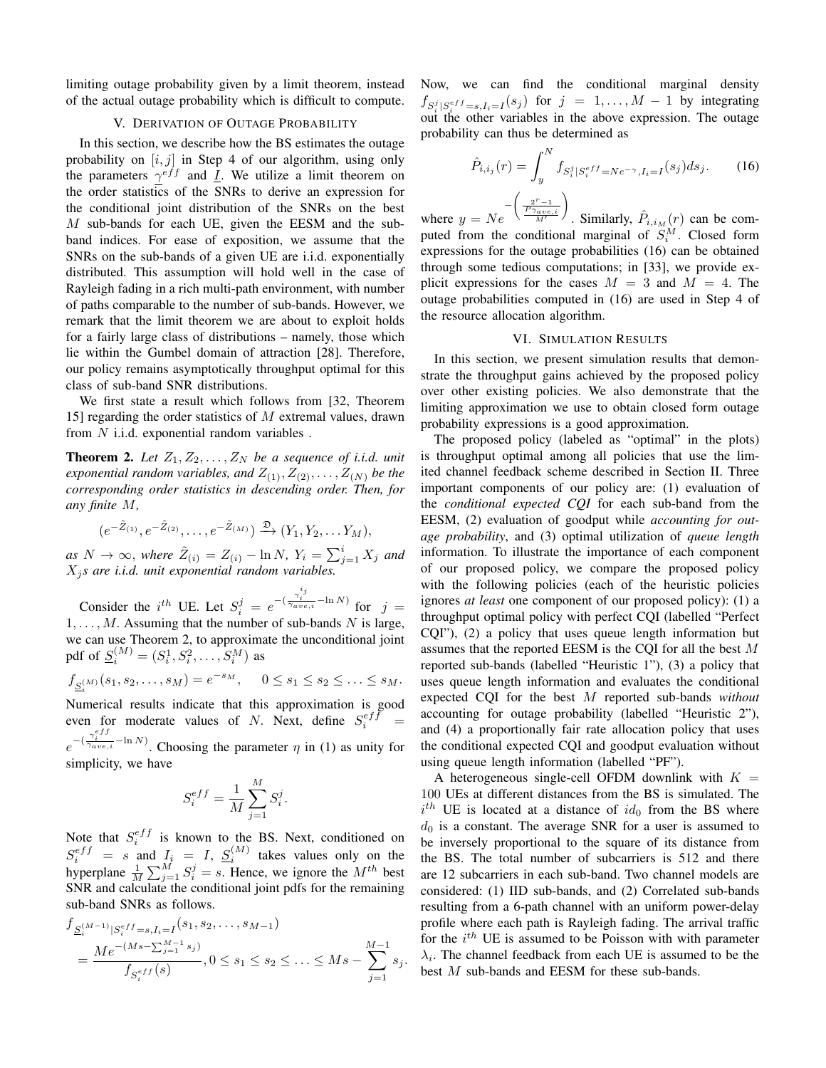limiting outage probability given by a limit theorem, instead of the actual outage probability which is difficult to compute.

#### V. DERIVATION OF OUTAGE PROBABILITY

In this section, we describe how the BS estimates the outage probability on  $[i, j]$  in Step 4 of our algorithm, using only the parameters  $\gamma^{eff}$  and *I*. We utilize a limit theorem on the order statistics of the SNRs to derive an expression for the conditional joint distribution of the SNRs on the best M sub-bands for each UE, given the EESM and the subband indices. For ease of exposition, we assume that the SNRs on the sub-bands of a given UE are i.i.d. exponentially distributed. This assumption will hold well in the case of Rayleigh fading in a rich multi-path environment, with number of paths comparable to the number of sub-bands. However, we remark that the limit theorem we are about to exploit holds for a fairly large class of distributions – namely, those which lie within the Gumbel domain of attraction [28]. Therefore, our policy remains asymptotically throughput optimal for this class of sub-band SNR distributions.

We first state a result which follows from [32, Theorem 15] regarding the order statistics of M extremal values, drawn from  $N$  i.i.d. exponential random variables.

**Theorem 2.** Let  $Z_1, Z_2, \ldots, Z_N$  be a sequence of i.i.d. unit *exponential random variables, and*  $Z_{(1)}$ ,  $Z_{(2)}$ , ...,  $Z_{(N)}$  *be the corresponding order statistics in descending order. Then, for any finite* M*,*

$$
(e^{-\tilde{Z}_{(1)}}, e^{-\tilde{Z}_{(2)}}, \ldots, e^{-\tilde{Z}_{(M)}}) \xrightarrow{\mathfrak{D}} (Y_1, Y_2, \ldots, Y_M),
$$

 $as\ N\to\infty$ , where  $\tilde{Z}_{(i)}=Z_{(i)}-\ln N$ ,  $Y_i=\sum_{j=1}^i X_j$  and  $X_j$ *s are i.i.d. unit exponential random variables.* 

Consider the  $i^{th}$  UE. Let  $S_i^j = e^{-\left(\frac{\gamma_i^{i_j}}{\gamma_{ave,i}} - \ln N\right)}$  for  $j =$  $1, \ldots, M$ . Assuming that the number of sub-bands N is large, we can use Theorem 2, to approximate the unconditional joint pdf of  $\underline{S}_i^{(M)} = (S_i^1, S_i^2, \dots, S_i^M)$  as

$$
f_{\underline{S}_i^{(M)}}(s_1, s_2, \dots, s_M) = e^{-s_M}, \quad 0 \le s_1 \le s_2 \le \dots \le s_M.
$$

Numerical results indicate that this approximation is good even for moderate values of N. Next, define  $S_i^{eff}$  =  $e^{-(\frac{\gamma_i^{eff}}{\gamma_{ave,i}} - \ln N)}$ . Choosing the parameter  $\eta$  in (1) as unity for

simplicity, we have

$$
S_i^{eff} = \frac{1}{M} \sum_{j=1}^{M} S_i^j.
$$

Note that  $S_i^{eff}$  is known to the BS. Next, conditioned on  $S_i^{eff} = s$  and  $I_i = I$ ,  $S_i^{(M)}$  takes values only on the hyperplane  $\frac{1}{M} \sum_{j=1}^{M} S_i^j = s$ . Hence, we ignore the  $M^{th}$  best SNR and calculate the conditional joint pdfs for the remaining sub-band SNRs as follows.

$$
f_{S_i^{(M-1)}|S_i^{eff}=s, I_i=I}(s_1, s_2, \dots, s_{M-1})
$$
  
= 
$$
\frac{Me^{-(Ms-\sum_{j=1}^{M-1} s_j)}}{f_{S_i^{eff}}(s)}, 0 \le s_1 \le s_2 \le \dots \le Ms - \sum_{j=1}^{M-1} s_j.
$$

Now, we can find the conditional marginal density  $f_{S_i^j|S_i^{eff} = s, I_i = I}(s_j)$  for  $j = 1, ..., M - 1$  by integrating out the other variables in the above expression. The outage probability can thus be determined as

$$
\hat{P}_{i,i_j}(r) = \int_y^N f_{S_i^j|S_i^{eff} = Ne^{-\gamma}, I_i = I}(s_j) ds_j.
$$
\n(16)

where  $y = Ne$  $-\left(\frac{2^r-1}{P\gamma_{ave,i}}\right)$ . Similarly,  $\hat{P}_{i,i_M}(r)$  can be computed from the conditional marginal of  $S_i^M$ . Closed form expressions for the outage probabilities (16) can be obtained through some tedious computations; in [33], we provide explicit expressions for the cases  $M = 3$  and  $M = 4$ . The outage probabilities computed in (16) are used in Step 4 of the resource allocation algorithm.

## VI. SIMULATION RESULTS

In this section, we present simulation results that demonstrate the throughput gains achieved by the proposed policy over other existing policies. We also demonstrate that the limiting approximation we use to obtain closed form outage probability expressions is a good approximation.

The proposed policy (labeled as "optimal" in the plots) is throughput optimal among all policies that use the limited channel feedback scheme described in Section II. Three important components of our policy are: (1) evaluation of the *conditional expected CQI* for each sub-band from the EESM, (2) evaluation of goodput while *accounting for outage probability*, and (3) optimal utilization of *queue length* information. To illustrate the importance of each component of our proposed policy, we compare the proposed policy with the following policies (each of the heuristic policies ignores *at least* one component of our proposed policy): (1) a throughput optimal policy with perfect CQI (labelled "Perfect CQI"), (2) a policy that uses queue length information but assumes that the reported EESM is the CQI for all the best M reported sub-bands (labelled "Heuristic 1"), (3) a policy that uses queue length information and evaluates the conditional expected CQI for the best M reported sub-bands *without* accounting for outage probability (labelled "Heuristic 2"), and (4) a proportionally fair rate allocation policy that uses the conditional expected CQI and goodput evaluation without using queue length information (labelled "PF").

A heterogeneous single-cell OFDM downlink with  $K =$ 100 UEs at different distances from the BS is simulated. The  $i^{th}$  UE is located at a distance of  $id_0$  from the BS where  $d_0$  is a constant. The average SNR for a user is assumed to be inversely proportional to the square of its distance from the BS. The total number of subcarriers is 512 and there are 12 subcarriers in each sub-band. Two channel models are considered: (1) IID sub-bands, and (2) Correlated sub-bands resulting from a 6-path channel with an uniform power-delay profile where each path is Rayleigh fading. The arrival traffic for the  $i^{th}$  UE is assumed to be Poisson with with parameter  $\lambda_i$ . The channel feedback from each UE is assumed to be the best M sub-bands and EESM for these sub-bands.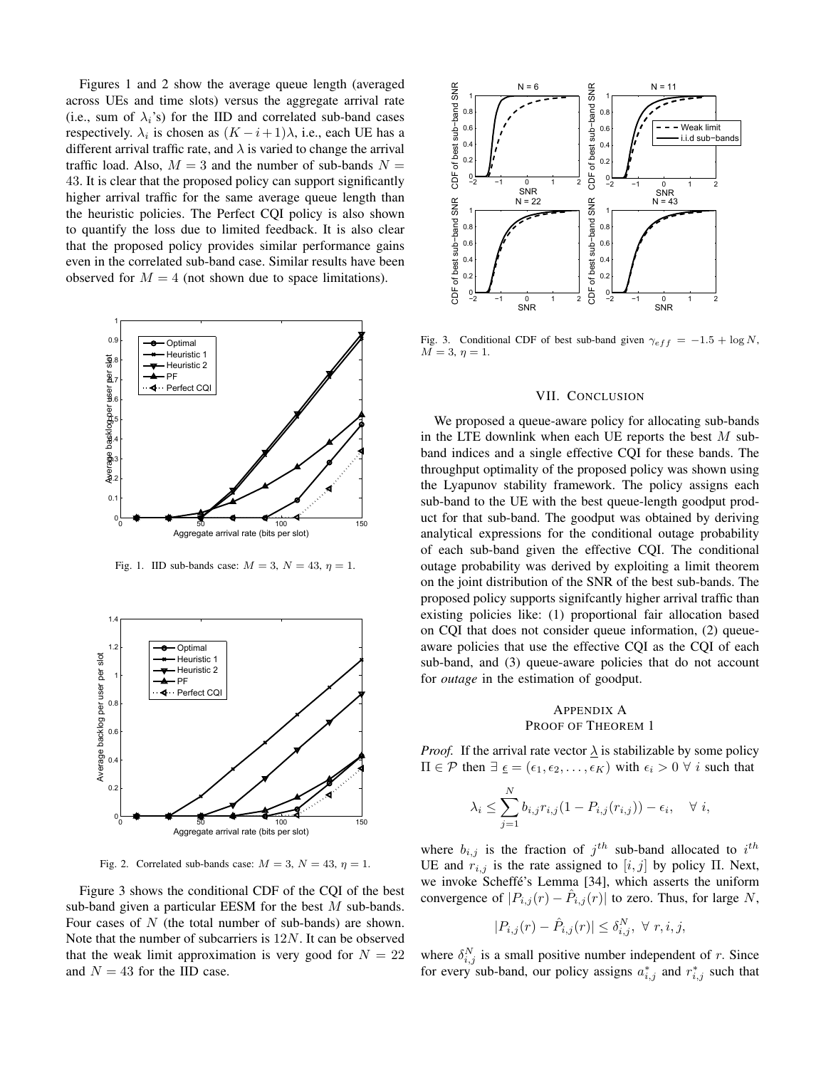Figures 1 and 2 show the average queue length (averaged across UEs and time slots) versus the aggregate arrival rate (i.e., sum of  $\lambda_i$ 's) for the IID and correlated sub-band cases respectively.  $\lambda_i$  is chosen as  $(K - i + 1)\lambda$ , i.e., each UE has a different arrival traffic rate, and  $\lambda$  is varied to change the arrival traffic load. Also,  $M = 3$  and the number of sub-bands  $N =$ 43. It is clear that the proposed policy can support significantly higher arrival traffic for the same average queue length than the heuristic policies. The Perfect CQI policy is also shown to quantify the loss due to limited feedback. It is also clear that the proposed policy provides similar performance gains even in the correlated sub-band case. Similar results have been observed for  $M = 4$  (not shown due to space limitations).



Fig. 1. IID sub-bands case:  $M = 3$ ,  $N = 43$ ,  $\eta = 1$ .



Fig. 2. Correlated sub-bands case:  $M = 3$ ,  $N = 43$ ,  $\eta = 1$ .

Figure 3 shows the conditional CDF of the CQI of the best sub-band given a particular EESM for the best M sub-bands. Four cases of  $N$  (the total number of sub-bands) are shown. Note that the number of subcarriers is 12N. It can be observed that the weak limit approximation is very good for  $N = 22$ and  $N = 43$  for the IID case.



Fig. 3. Conditional CDF of best sub-band given  $\gamma_{eff} = -1.5 + \log N$ ,  $M = 3, \eta = 1.$ 

#### VII. CONCLUSION

We proposed a queue-aware policy for allocating sub-bands in the LTE downlink when each UE reports the best  $M$  subband indices and a single effective CQI for these bands. The throughput optimality of the proposed policy was shown using the Lyapunov stability framework. The policy assigns each sub-band to the UE with the best queue-length goodput product for that sub-band. The goodput was obtained by deriving analytical expressions for the conditional outage probability of each sub-band given the effective CQI. The conditional outage probability was derived by exploiting a limit theorem on the joint distribution of the SNR of the best sub-bands. The proposed policy supports signifcantly higher arrival traffic than existing policies like: (1) proportional fair allocation based on CQI that does not consider queue information, (2) queueaware policies that use the effective CQI as the CQI of each sub-band, and (3) queue-aware policies that do not account for *outage* in the estimation of goodput.

## APPENDIX A PROOF OF THEOREM 1

*Proof.* If the arrival rate vector  $\lambda$  is stabilizable by some policy  $\Pi \in \mathcal{P}$  then  $\exists \underline{\epsilon} = (\epsilon_1, \epsilon_2, \dots, \epsilon_K)$  with  $\epsilon_i > 0 \ \forall i$  such that

$$
\lambda_i \leq \sum_{j=1}^N b_{i,j} r_{i,j} (1 - P_{i,j}(r_{i,j})) - \epsilon_i, \quad \forall \ i,
$$

where  $b_{i,j}$  is the fraction of  $j^{th}$  sub-band allocated to  $i^{th}$ UE and  $r_{i,j}$  is the rate assigned to  $[i, j]$  by policy Π. Next, we invoke Scheffé's Lemma [34], which asserts the uniform convergence of  $|P_{i,j}(r) - \hat{P}_{i,j}(r)|$  to zero. Thus, for large N,

$$
|P_{i,j}(r) - \hat{P}_{i,j}(r)| \le \delta_{i,j}^N, \ \forall \ r, i, j,
$$

where  $\delta_{i,j}^N$  is a small positive number independent of r. Since for every sub-band, our policy assigns  $a_{i,j}^*$  and  $r_{i,j}^*$  such that